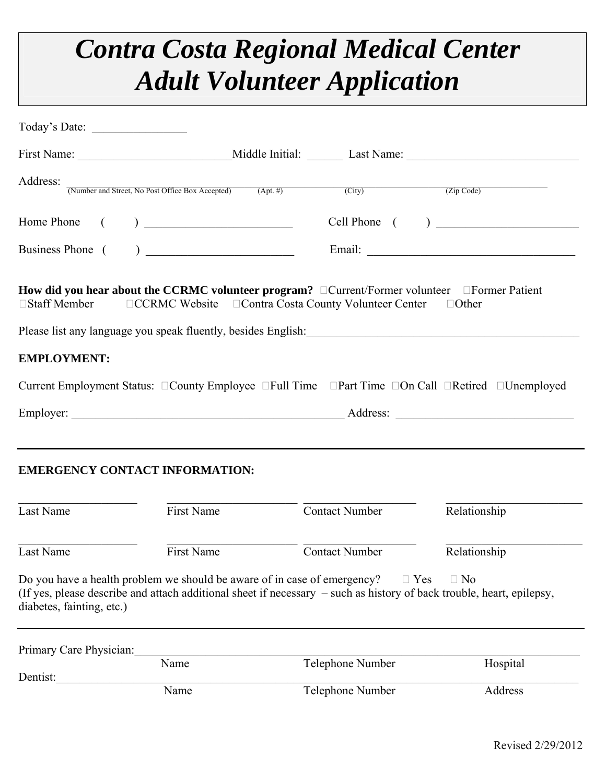## *Contra Costa Regional Medical Center Adult Volunteer Application*

| Today's Date:             |                                                                                                                                                                                                                                                                                                                                                                                                      |                       |                |
|---------------------------|------------------------------------------------------------------------------------------------------------------------------------------------------------------------------------------------------------------------------------------------------------------------------------------------------------------------------------------------------------------------------------------------------|-----------------------|----------------|
|                           |                                                                                                                                                                                                                                                                                                                                                                                                      |                       |                |
|                           | Address: When and Street, No Post Office Box Accepted) (Apt. #) (City) (City) (Zip Code)                                                                                                                                                                                                                                                                                                             |                       |                |
|                           |                                                                                                                                                                                                                                                                                                                                                                                                      |                       | Cell Phone ( ) |
|                           |                                                                                                                                                                                                                                                                                                                                                                                                      |                       |                |
| □Staff Member             | How did you hear about the CCRMC volunteer program? $\Box$ Current/Former volunteer $\Box$ Former Patient<br>□CCRMC Website □ Contra Costa County Volunteer Center<br>Please list any language you speak fluently, besides English: 1999 and 2009 and 2009 and 2009 and 2009 and 2009 and 2009 and 2009 and 2009 and 2009 and 2009 and 2009 and 2009 and 2009 and 2009 and 2009 and 2009 and 2009 an |                       | $\Box$ Other   |
| <b>EMPLOYMENT:</b>        |                                                                                                                                                                                                                                                                                                                                                                                                      |                       |                |
|                           | Current Employment Status: □County Employee □Full Time □Part Time □On Call □Retired □Unemployed                                                                                                                                                                                                                                                                                                      |                       |                |
|                           |                                                                                                                                                                                                                                                                                                                                                                                                      |                       |                |
|                           | <b>EMERGENCY CONTACT INFORMATION:</b>                                                                                                                                                                                                                                                                                                                                                                |                       |                |
| Last Name                 | <b>First Name</b>                                                                                                                                                                                                                                                                                                                                                                                    | <b>Contact Number</b> | Relationship   |
| Last Name                 | First Name                                                                                                                                                                                                                                                                                                                                                                                           | <b>Contact Number</b> | Relationship   |
| diabetes, fainting, etc.) | Do you have a health problem we should be aware of in case of emergency?<br>(If yes, please describe and attach additional sheet if necessary – such as history of back trouble, heart, epilepsy,                                                                                                                                                                                                    | $\Box$ Yes            | $\Box$ No      |
| Primary Care Physician:   |                                                                                                                                                                                                                                                                                                                                                                                                      |                       |                |
| Dentist:                  | Name                                                                                                                                                                                                                                                                                                                                                                                                 | Telephone Number      | Hospital       |
|                           | Name                                                                                                                                                                                                                                                                                                                                                                                                 | Telephone Number      | Address        |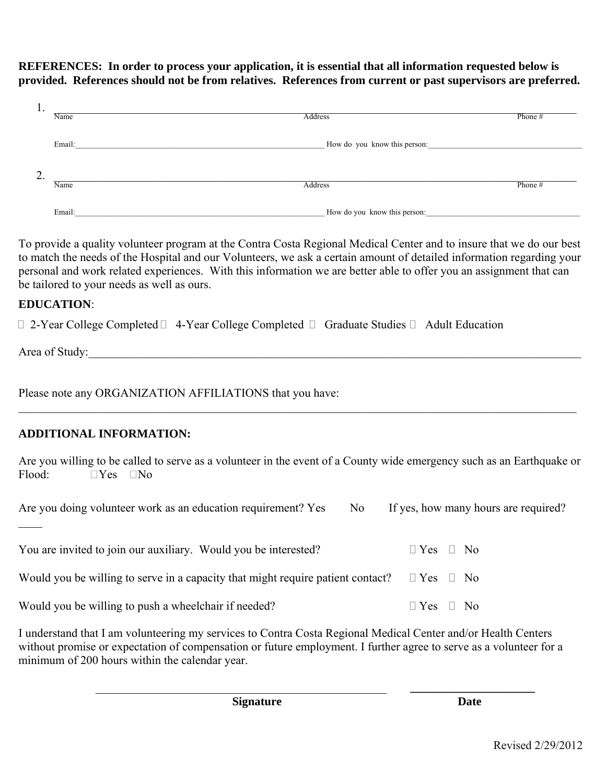## **REFERENCES: In order to process your application, it is essential that all information requested below is provided. References should not be from relatives. References from current or past supervisors are preferred.**

| . .         |                              |         |  |
|-------------|------------------------------|---------|--|
| Name        | Address                      | Phone # |  |
|             |                              |         |  |
| Email:      | How do you know this person: |         |  |
|             |                              |         |  |
|             |                              |         |  |
|             |                              |         |  |
| ـ ت<br>Name | Address                      | Phone # |  |
|             |                              |         |  |
|             |                              |         |  |
| Email:      | How do you know this person: |         |  |

To provide a quality volunteer program at the Contra Costa Regional Medical Center and to insure that we do our best to match the needs of the Hospital and our Volunteers, we ask a certain amount of detailed information regarding your personal and work related experiences. With this information we are better able to offer you an assignment that can be tailored to your needs as well as ours.

## **EDUCATION**:

 $\Box$  2-Year College Completed  $\Box$  4-Year College Completed  $\Box$  Graduate Studies  $\Box$  Adult Education

Area of Study:

 $\mathcal{L}$ 

Please note any ORGANIZATION AFFILIATIONS that you have:

## **ADDITIONAL INFORMATION:**

Are you willing to be called to serve as a volunteer in the event of a County wide emergency such as an Earthquake or Flood:  $\Box$  Yes  $\Box$  No

 $\_$  , and the contribution of the contribution of the contribution of the contribution of  $\mathcal{L}_\text{max}$ 

Are you doing volunteer work as an education requirement? Yes No If yes, how many hours are required?

| You are invited to join our auxiliary. Would you be interested?                                      | $\parallel$ Yes $\parallel$ No |
|------------------------------------------------------------------------------------------------------|--------------------------------|
| Would you be willing to serve in a capacity that might require patient contact? $\Box$ Yes $\Box$ No |                                |
| Would you be willing to push a wheelchair if needed?                                                 | $\Box$ Yes $\Box$ No           |

I understand that I am volunteering my services to Contra Costa Regional Medical Center and/or Health Centers without promise or expectation of compensation or future employment. I further agree to serve as a volunteer for a minimum of 200 hours within the calendar year.

\_\_\_\_\_\_\_\_\_\_\_\_\_\_\_\_\_\_\_\_\_\_\_\_\_\_\_\_\_\_\_\_\_\_\_\_\_\_\_\_\_\_\_\_\_\_\_\_\_ **\_\_\_\_\_\_\_\_\_\_\_\_\_\_\_\_\_\_\_\_\_** 

**Signature** Date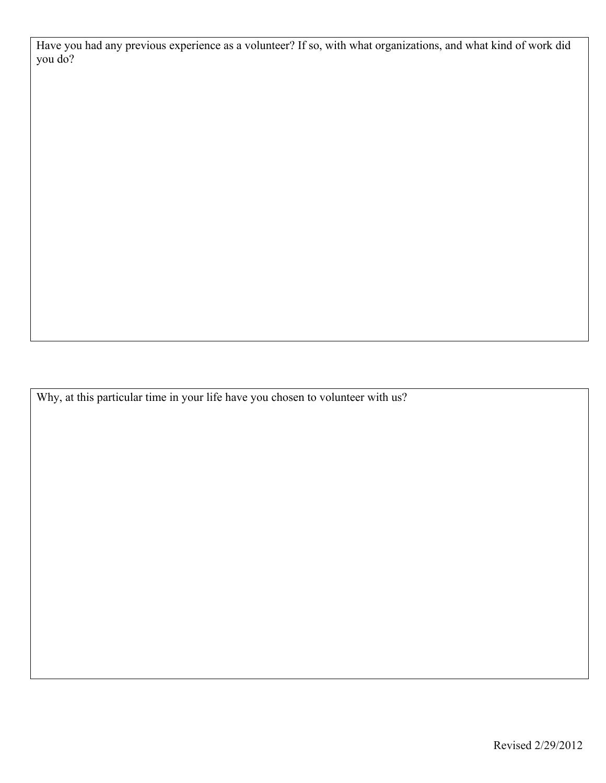Have you had any previous experience as a volunteer? If so, with what organizations, and what kind of work did you do?

Why, at this particular time in your life have you chosen to volunteer with us?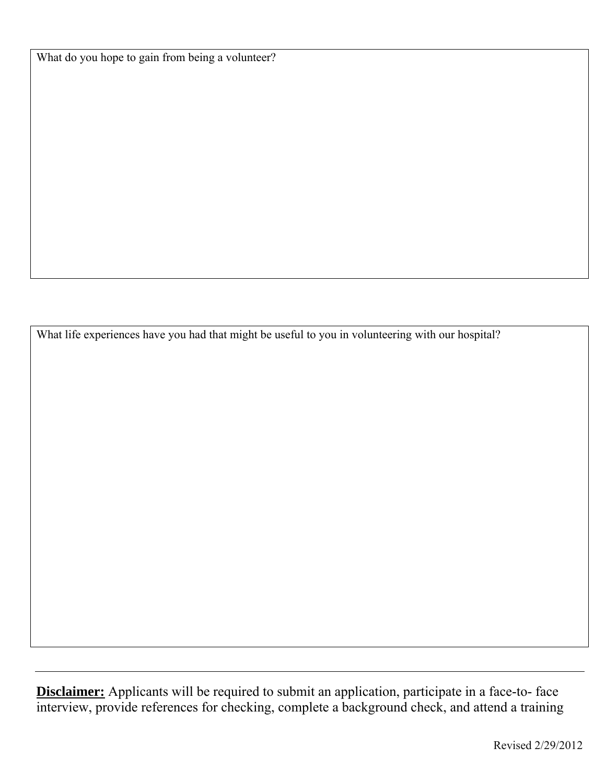What do you hope to gain from being a volunteer?

What life experiences have you had that might be useful to you in volunteering with our hospital?

**Disclaimer:** Applicants will be required to submit an application, participate in a face-to- face interview, provide references for checking, complete a background check, and attend a training